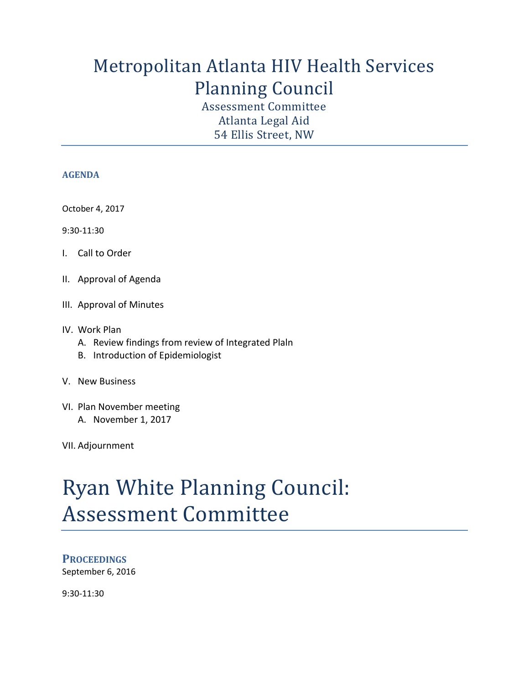## Metropolitan Atlanta HIV Health Services Planning Council

Assessment Committee Atlanta Legal Aid 54 Ellis Street, NW

#### **AGENDA**

October 4, 2017

9:30-11:30

- I. Call to Order
- II. Approval of Agenda
- III. Approval of Minutes
- IV. Work Plan
	- A. Review findings from review of Integrated Plaln
	- B. Introduction of Epidemiologist
- V. New Business
- VI. Plan November meeting A. November 1, 2017

VII. Adjournment

# Ryan White Planning Council: Assessment Committee

## **PROCEEDINGS**

September 6, 2016

9:30-11:30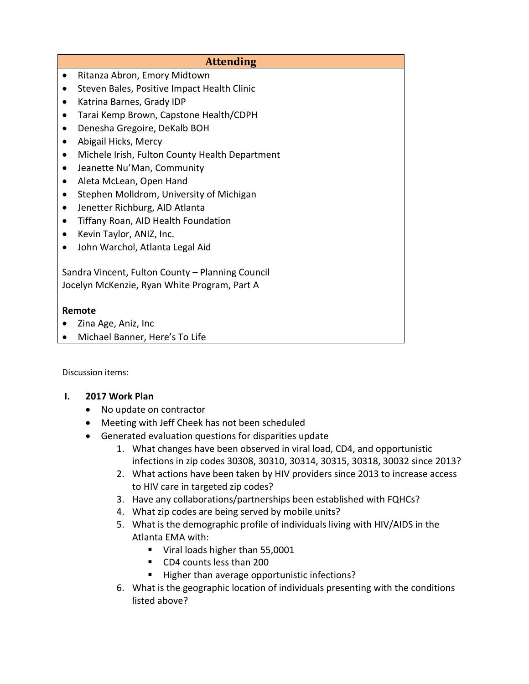## **Attending**  • Ritanza Abron, Emory Midtown • Steven Bales, Positive Impact Health Clinic Katrina Barnes, Grady IDP Tarai Kemp Brown, Capstone Health/CDPH Denesha Gregoire, DeKalb BOH Abigail Hicks, Mercy Michele Irish, Fulton County Health Department Jeanette Nu'Man, Community Aleta McLean, Open Hand • Stephen Molldrom, University of Michigan Jenetter Richburg, AID Atlanta Tiffany Roan, AID Health Foundation • Kevin Taylor, ANIZ, Inc. John Warchol, Atlanta Legal Aid Sandra Vincent, Fulton County – Planning Council Jocelyn McKenzie, Ryan White Program, Part A **Remote**  • Zina Age, Aniz, Inc

Michael Banner, Here's To Life

Discussion items:

## **I. 2017 Work Plan**

- No update on contractor
- Meeting with Jeff Cheek has not been scheduled
- Generated evaluation questions for [disparities](https://www.google.com/search?q=disparities&spell=1&sa=X&ved=0ahUKEwiYyLCrq9PWAhXKSSYKHYErAZoQvwUIIygA) update
	- 1. What changes have been observed in viral load, CD4, and opportunistic infections in zip codes 30308, 30310, 30314, 30315, 30318, 30032 since 2013?
	- 2. What actions have been taken by HIV providers since 2013 to increase access to HIV care in targeted zip codes?
	- 3. Have any collaborations/partnerships been established with FQHCs?
	- 4. What zip codes are being served by mobile units?
	- 5. What is the demographic profile of individuals living with HIV/AIDS in the Atlanta EMA with:
		- Viral loads higher than 55,0001
		- CD4 counts less than 200
		- Higher than average opportunistic infections?
	- 6. What is the geographic location of individuals presenting with the conditions listed above?